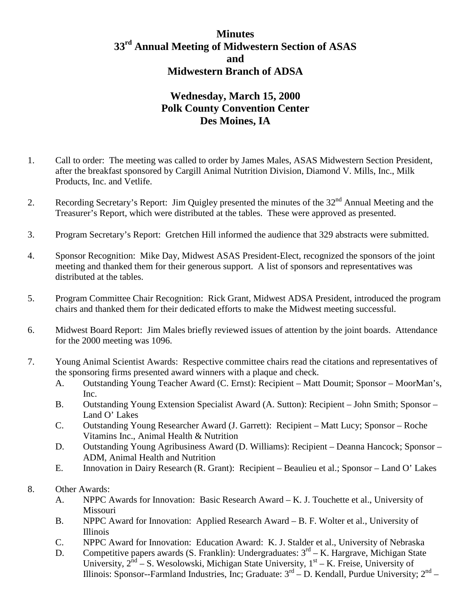## **Minutes 33rd Annual Meeting of Midwestern Section of ASAS and Midwestern Branch of ADSA**

## **Wednesday, March 15, 2000 Polk County Convention Center Des Moines, IA**

- 1. Call to order: The meeting was called to order by James Males, ASAS Midwestern Section President, after the breakfast sponsored by Cargill Animal Nutrition Division, Diamond V. Mills, Inc., Milk Products, Inc. and Vetlife.
- 2. Recording Secretary's Report: Jim Quigley presented the minutes of the 32<sup>nd</sup> Annual Meeting and the Treasurer's Report, which were distributed at the tables. These were approved as presented.
- 3. Program Secretary's Report: Gretchen Hill informed the audience that 329 abstracts were submitted.
- 4. Sponsor Recognition: Mike Day, Midwest ASAS President-Elect, recognized the sponsors of the joint meeting and thanked them for their generous support. A list of sponsors and representatives was distributed at the tables.
- 5. Program Committee Chair Recognition: Rick Grant, Midwest ADSA President, introduced the program chairs and thanked them for their dedicated efforts to make the Midwest meeting successful.
- 6. Midwest Board Report: Jim Males briefly reviewed issues of attention by the joint boards. Attendance for the 2000 meeting was 1096.
- 7. Young Animal Scientist Awards: Respective committee chairs read the citations and representatives of the sponsoring firms presented award winners with a plaque and check.
	- A. Outstanding Young Teacher Award (C. Ernst): Recipient Matt Doumit; Sponsor MoorMan's, Inc.
	- B. Outstanding Young Extension Specialist Award (A. Sutton): Recipient John Smith; Sponsor Land O' Lakes
	- C. Outstanding Young Researcher Award (J. Garrett): Recipient Matt Lucy; Sponsor Roche Vitamins Inc., Animal Health & Nutrition
	- D. Outstanding Young Agribusiness Award (D. Williams): Recipient Deanna Hancock; Sponsor ADM, Animal Health and Nutrition
	- E. Innovation in Dairy Research (R. Grant): Recipient Beaulieu et al.; Sponsor Land O' Lakes
- 8. Other Awards:
	- A. NPPC Awards for Innovation: Basic Research Award K. J. Touchette et al., University of Missouri
	- B. NPPC Award for Innovation: Applied Research Award B. F. Wolter et al., University of Illinois
	- C. NPPC Award for Innovation: Education Award: K. J. Stalder et al., University of Nebraska
	- D. Competitive papers awards (S. Franklin): Undergraduates:  $3<sup>rd</sup> K$ . Hargrave, Michigan State University,  $2<sup>nd</sup> - S$ . Wesolowski, Michigan State University,  $1<sup>st</sup> - K$ . Freise, University of Illinois: Sponsor--Farmland Industries, Inc; Graduate:  $3<sup>rd</sup> - D$ . Kendall, Purdue University;  $2<sup>nd</sup> - D$